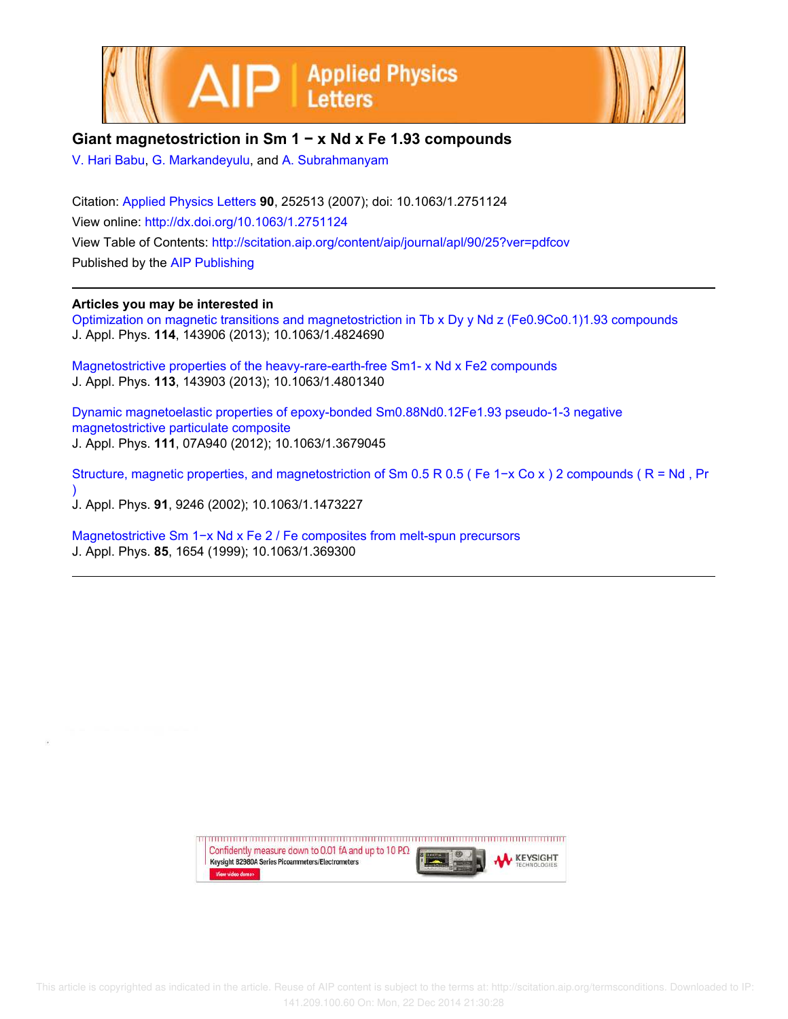



## **Giant magnetostriction in Sm 1 − x Nd x Fe 1.93 compounds**

V. Hari Babu, G. Markandeyulu, and A. Subrahmanyam

Citation: Applied Physics Letters **90**, 252513 (2007); doi: 10.1063/1.2751124 View online: http://dx.doi.org/10.1063/1.2751124 View Table of Contents: http://scitation.aip.org/content/aip/journal/apl/90/25?ver=pdfcov Published by the AIP Publishing

## **Articles you may be interested in**

Optimization on magnetic transitions and magnetostriction in Tb x Dy y Nd z (Fe0.9Co0.1)1.93 compounds J. Appl. Phys. **114**, 143906 (2013); 10.1063/1.4824690

Magnetostrictive properties of the heavy-rare-earth-free Sm1- x Nd x Fe2 compounds J. Appl. Phys. **113**, 143903 (2013); 10.1063/1.4801340

Dynamic magnetoelastic properties of epoxy-bonded Sm0.88Nd0.12Fe1.93 pseudo-1-3 negative magnetostrictive particulate composite J. Appl. Phys. **111**, 07A940 (2012); 10.1063/1.3679045

Structure, magnetic properties, and magnetostriction of Sm 0.5 R 0.5 ( Fe 1−x Co x ) 2 compounds ( R = Nd , Pr ) J. Appl. Phys. **91**, 9246 (2002); 10.1063/1.1473227

Magnetostrictive Sm 1−x Nd x Fe 2 / Fe composites from melt-spun precursors J. Appl. Phys. **85**, 1654 (1999); 10.1063/1.369300

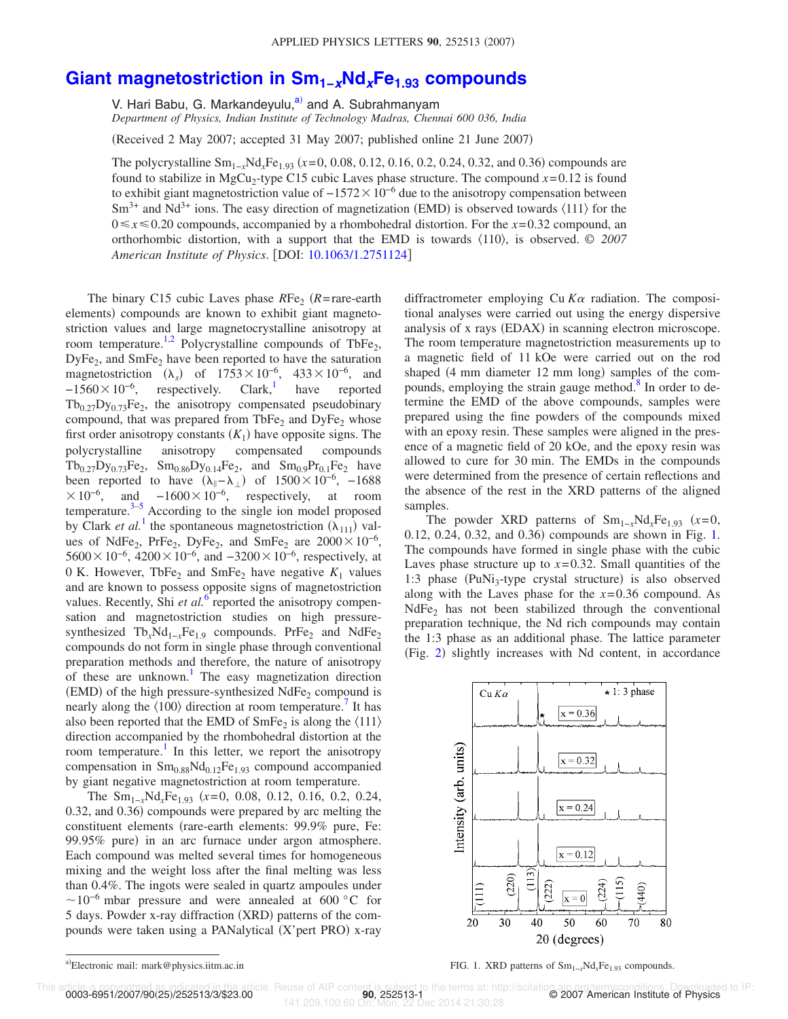## **Giant magnetostriction in Sm1−xNdxFe1.93 compounds**

V. Hari Babu, G. Markandeyulu,<sup>a)</sup> and A. Subrahmanyam *Department of Physics, Indian Institute of Technology Madras, Chennai 600 036, India*

Received 2 May 2007; accepted 31 May 2007; published online 21 June 2007-

The polycrystalline Sm<sub>1-*x*</sub>Nd<sub>*x*</sub>Fe<sub>1.93</sub> (*x*=0, 0.08, 0.12, 0.16, 0.2, 0.24, 0.32, and 0.36) compounds are found to stabilize in MgCu<sub>2</sub>-type C15 cubic Laves phase structure. The compound  $x=0.12$  is found to exhibit giant magnetostriction value of  $-1572\times10^{-6}$  due to the anisotropy compensation between  $\text{Sm}^{3+}$  and Nd<sup>3+</sup> ions. The easy direction of magnetization (EMD) is observed towards  $\langle 111 \rangle$  for the  $0 \le x \le 0.20$  compounds, accompanied by a rhombohedral distortion. For the  $x=0.32$  compound, an orthorhombic distortion, with a support that the EMD is towards 110, is observed. © *2007 American Institute of Physics*. DOI: 10.1063/1.2751124

The binary C15 cubic Laves phase  $RFe<sub>2</sub>$  ( $R$ =rare-earth elements) compounds are known to exhibit giant magnetostriction values and large magnetocrystalline anisotropy at room temperature.<sup>1,2</sup> Polycrystalline compounds of TbFe<sub>2</sub>, DyFe<sub>2</sub>, and SmFe<sub>2</sub> have been reported to have the saturation magnetostriction  $(\lambda_s)$  of 1753×10<sup>-6</sup>, 433×10<sup>-6</sup>, and  $-1560\times10^{-6}$ , respectively. Clark, have reported  $Tb_{0.27}Dy_{0.73}Fe_2$ , the anisotropy compensated pseudobinary compound, that was prepared from  $TbFe<sub>2</sub>$  and  $DyFe<sub>2</sub>$  whose first order anisotropy constants  $(K_1)$  have opposite signs. The polycrystalline anisotropy compensated compounds  $Tb_{0.27}Dy_{0.73}Fe_2$ ,  $Sm_{0.86}Dy_{0.14}Fe_2$ , and  $Sm_{0.9}Pr_{0.1}Fe_2$  have been reported to have  $(\lambda_{\parallel} - \lambda_{\perp})$  of  $1500 \times 10^{-6}$ , -1688  $\times 10^{-6}$ , and  $-1600\times 10^{-6}$ , respectively, at room temperature. $3-5$  According to the single ion model proposed by Clark *et al.*<sup>1</sup> the spontaneous magnetostriction  $(\lambda_{111})$  values of NdFe<sub>2</sub>, PrFe<sub>2</sub>, DyFe<sub>2</sub>, and SmFe<sub>2</sub> are  $2000 \times 10^{-6}$ ,  $5600\times10^{-6}$ , 4200 $\times10^{-6}$ , and  $-3200\times10^{-6}$ , respectively, at 0 K. However, TbFe<sub>2</sub> and SmFe<sub>2</sub> have negative  $K_1$  values and are known to possess opposite signs of magnetostriction values. Recently, Shi et al.<sup>6</sup> reported the anisotropy compensation and magnetostriction studies on high pressuresynthesized Tb<sub>x</sub>Nd<sub>1−*x*</sub>Fe<sub>1.9</sub> compounds. PrFe<sub>2</sub> and NdFe<sub>2</sub> compounds do not form in single phase through conventional preparation methods and therefore, the nature of anisotropy of these are unknown.<sup>1</sup> The easy magnetization direction  $(EMD)$  of the high pressure-synthesized NdFe<sub>2</sub> compound is nearly along the  $\langle 100 \rangle$  direction at room temperature.<sup>7</sup> It has also been reported that the EMD of  $SmFe_2$  is along the  $\langle 111 \rangle$ direction accompanied by the rhombohedral distortion at the room temperature.<sup>1</sup> In this letter, we report the anisotropy compensation in  $Sm<sub>0.88</sub>Nd<sub>0.12</sub>Fe<sub>1.93</sub>$  compound accompanied by giant negative magnetostriction at room temperature.

The Sm<sub>1−*x*</sub>Nd<sub>*x*</sub>Fe<sub>1.93</sub> (*x*=0, 0.08, 0.12, 0.16, 0.2, 0.24, 0.32, and 0.36) compounds were prepared by arc melting the constituent elements (rare-earth elements: 99.9% pure, Fe: 99.95% pure) in an arc furnace under argon atmosphere. Each compound was melted several times for homogeneous mixing and the weight loss after the final melting was less than 0.4%. The ingots were sealed in quartz ampoules under  $\sim$ 10<sup>-6</sup> mbar pressure and were annealed at 600 °C for 5 days. Powder x-ray diffraction (XRD) patterns of the compounds were taken using a PANalytical (X'pert PRO) x-ray

diffractrometer employing  $Cu K\alpha$  radiation. The compositional analyses were carried out using the energy dispersive analysis of x rays (EDAX) in scanning electron microscope. The room temperature magnetostriction measurements up to a magnetic field of 11 kOe were carried out on the rod shaped (4 mm diameter 12 mm long) samples of the compounds, employing the strain gauge method.<sup>8</sup> In order to determine the EMD of the above compounds, samples were prepared using the fine powders of the compounds mixed with an epoxy resin. These samples were aligned in the presence of a magnetic field of 20 kOe, and the epoxy resin was allowed to cure for 30 min. The EMDs in the compounds were determined from the presence of certain reflections and the absence of the rest in the XRD patterns of the aligned samples.

The powder XRD patterns of  $Sm_{1-x}Nd_xFe_{1,93}$  (x=0, 0.12, 0.24, 0.32, and 0.36) compounds are shown in Fig. 1. The compounds have formed in single phase with the cubic Laves phase structure up to  $x=0.32$ . Small quantities of the 1:3 phase  $(PuNi<sub>3</sub>-type crystal structure)$  is also observed along with the Laves phase for the *x*= 0.36 compound. As  $NdFe<sub>2</sub>$  has not been stabilized through the conventional preparation technique, the Nd rich compounds may contain the 1:3 phase as an additional phase. The lattice parameter (Fig. 2) slightly increases with Nd content, in accordance



0003-6951/2007/90(25)/252513/3/\$23.00

This article is copyrighted as indicated in the article. Reuse of AIP content is subject to the terms at: http://scitation.aip.org/termsconditions. Downloaded to IP:<br>0003-6951/2007/90(252513/3/\$23.00<br>2007 American Institut 2088 of Air content is subject to the terms at: http://<br>141.209.100.60 On: 252513-10ec 2014 21:30:28

a).

FIG. 1. XRD patterns of Sm<sub>1−*x*</sub>Nd<sub>*x*</sub>Fe<sub>1.93</sub> compounds.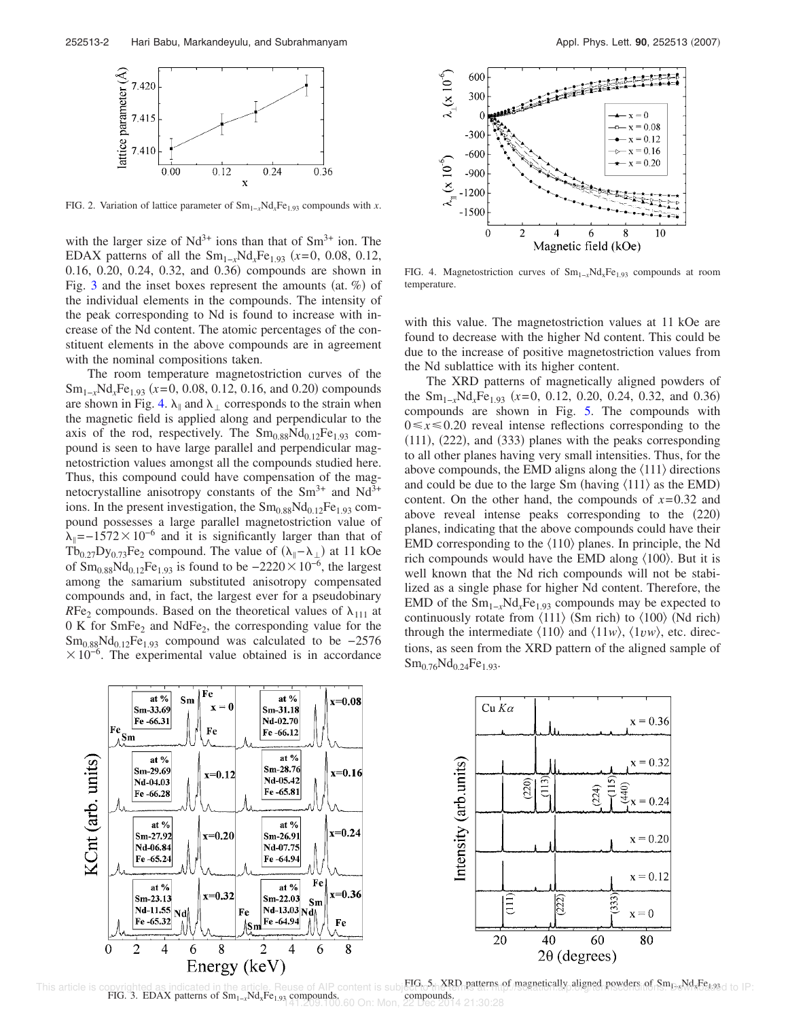

FIG. 2. Variation of lattice parameter of Sm1−*<sup>x</sup>*Nd*x*Fe1.93 compounds with *x*.

with the larger size of  $Nd^{3+}$  ions than that of  $Sm^{3+}$  ion. The EDAX patterns of all the  $Sm_{1-x}Nd_xFe_{1.93}$  (x=0, 0.08, 0.12, 0.16, 0.20, 0.24, 0.32, and 0.36) compounds are shown in Fig. 3 and the inset boxes represent the amounts (at.  $%$ ) of the individual elements in the compounds. The intensity of the peak corresponding to Nd is found to increase with increase of the Nd content. The atomic percentages of the constituent elements in the above compounds are in agreement with the nominal compositions taken.

The room temperature magnetostriction curves of the Sm<sub>1-*x*</sub>Nd<sub>*x*</sub>Fe<sub>1.93</sub> (*x*=0, 0.08, 0.12, 0.16, and 0.20) compounds are shown in Fig. 4.  $\lambda_{\parallel}$  and  $\lambda_{\perp}$  corresponds to the strain when the magnetic field is applied along and perpendicular to the axis of the rod, respectively. The  $Sm<sub>0.88</sub>Nd<sub>0.12</sub>Fe<sub>1.93</sub>$  compound is seen to have large parallel and perpendicular magnetostriction values amongst all the compounds studied here. Thus, this compound could have compensation of the magnetocrystalline anisotropy constants of the  $Sm^{3+}$  and  $Nd^{3+}$ ions. In the present investigation, the  $Sm<sub>0.88</sub>Nd<sub>0.12</sub>Fe<sub>1.93</sub>$  compound possesses a large parallel magnetostriction value of  $\lambda_{\parallel}$ =−1572×10<sup>-6</sup> and it is significantly larger than that of  $Tb_{0.27}Dy_{0.73}Fe_2$  compound. The value of  $(\lambda_{\parallel} - \lambda_{\perp})$  at 11 kOe of  $\text{Sm}_{0.88}\text{Nd}_{0.12}\text{Fe}_{1.93}$  is found to be  $-2220\times10^{-6}$ , the largest among the samarium substituted anisotropy compensated compounds and, in fact, the largest ever for a pseudobinary *RFe<sub>2</sub>* compounds. Based on the theoretical values of  $\lambda_{111}$  at 0 K for SmFe<sub>2</sub> and NdFe<sub>2</sub>, the corresponding value for the  $\rm Sm_{0.88}Nd_{0.12}Fe_{1.93}$  compound was calculated to be -2576  $\times 10^{-6}$ . The experimental value obtained is in accordance



FIG. 4. Magnetostriction curves of Sm1−*<sup>x</sup>*NdxFe1.93 compounds at room temperature.

with this value. The magnetostriction values at 11 kOe are found to decrease with the higher Nd content. This could be due to the increase of positive magnetostriction values from the Nd sublattice with its higher content.

The XRD patterns of magnetically aligned powders of the Sm<sub>1−*x*</sub>Nd<sub>*x*</sub>Fe<sub>1.93</sub> (*x*=0, 0.12, 0.20, 0.24, 0.32, and 0.36) compounds are shown in Fig. 5. The compounds with  $0 \le x \le 0.20$  reveal intense reflections corresponding to the  $(111)$ ,  $(222)$ , and  $(333)$  planes with the peaks corresponding to all other planes having very small intensities. Thus, for the above compounds, the EMD aligns along the  $\langle 111 \rangle$  directions and could be due to the large Sm (having  $\langle 111 \rangle$  as the EMD) content. On the other hand, the compounds of *x*= 0.32 and above reveal intense peaks corresponding to the (220) planes, indicating that the above compounds could have their EMD corresponding to the  $\langle 110 \rangle$  planes. In principle, the Nd rich compounds would have the EMD along  $\langle 100 \rangle$ . But it is well known that the Nd rich compounds will not be stabilized as a single phase for higher Nd content. Therefore, the EMD of the  $Sm_{1-x}Nd_xFe_{1.93}$  compounds may be expected to continuously rotate from  $\langle 111 \rangle$  (Sm rich) to  $\langle 100 \rangle$  (Nd rich) through the intermediate  $\langle 110 \rangle$  and  $\langle 11w \rangle$ ,  $\langle 1vw \rangle$ , etc. directions, as seen from the XRD pattern of the aligned sample of  $Sm_{0.76}Nd_{0.24}Fe_{1.93}.$ 



This article is copyrighted as indicated in the article. Reuse of AIP content is subject of the terms of magnetically aligned powders of Sm B Wd Fe was do IP: compounds. FIG. 3. EDAX patterns of Sm<sub>1-x</sub>Nd<sub>x</sub>Fe<sub>1.93</sub> compounds. compounds. compounds. compounds. compounds. compounds. compounds. compounds. compounds. compounds. compounds. compounds. compounds. compounds. compounds. compounds.